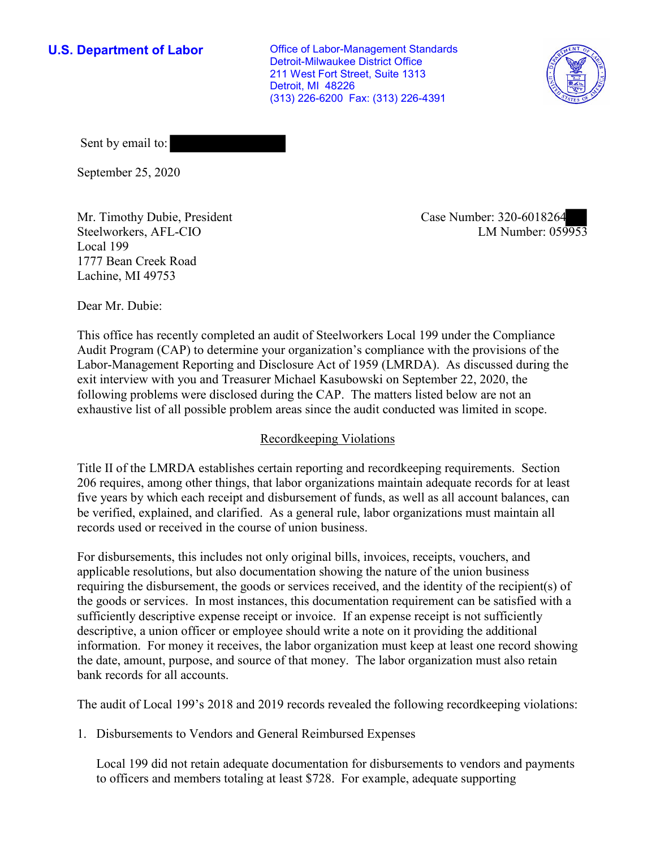**U.S. Department of Labor Conservative Conservative Conservative Conservative U.S.** Department of Labor Detroit-Milwaukee District Office 211 West Fort Street, Suite 1313 Detroit, MI 48226 (313) 226-6200 Fax: (313) 226-4391



Sent by email to:

September 25, 2020

Mr. Timothy Dubie, President Steelworkers, AFL-CIO Local 199 1777 Bean Creek Road Lachine, MI 49753

Case Number: 320-6018264<br>
LM Number: 059953

Dear Mr. Dubie:

 This office has recently completed an audit of Steelworkers Local 199 under the Compliance Audit Program (CAP) to determine your organization's compliance with the provisions of the Labor-Management Reporting and Disclosure Act of 1959 (LMRDA). As discussed during the exit interview with you and Treasurer Michael Kasubowski on September 22, 2020, the following problems were disclosed during the CAP. The matters listed below are not an exhaustive list of all possible problem areas since the audit conducted was limited in scope.

# Recordkeeping Violations

 Title II of the LMRDA establishes certain reporting and recordkeeping requirements. Section 206 requires, among other things, that labor organizations maintain adequate records for at least five years by which each receipt and disbursement of funds, as well as all account balances, can be verified, explained, and clarified. As a general rule, labor organizations must maintain all records used or received in the course of union business.

For disbursements, this includes not only original bills, invoices, receipts, vouchers, and applicable resolutions, but also documentation showing the nature of the union business requiring the disbursement, the goods or services received, and the identity of the recipient(s) of the goods or services. In most instances, this documentation requirement can be satisfied with a sufficiently descriptive expense receipt or invoice. If an expense receipt is not sufficiently descriptive, a union officer or employee should write a note on it providing the additional information. For money it receives, the labor organization must keep at least one record showing the date, amount, purpose, and source of that money. The labor organization must also retain bank records for all accounts.

The audit of Local 199's 2018 and 2019 records revealed the following recordkeeping violations:

1. Disbursements to Vendors and General Reimbursed Expenses

Local 199 did not retain adequate documentation for disbursements to vendors and payments to officers and members totaling at least \$728. For example, adequate supporting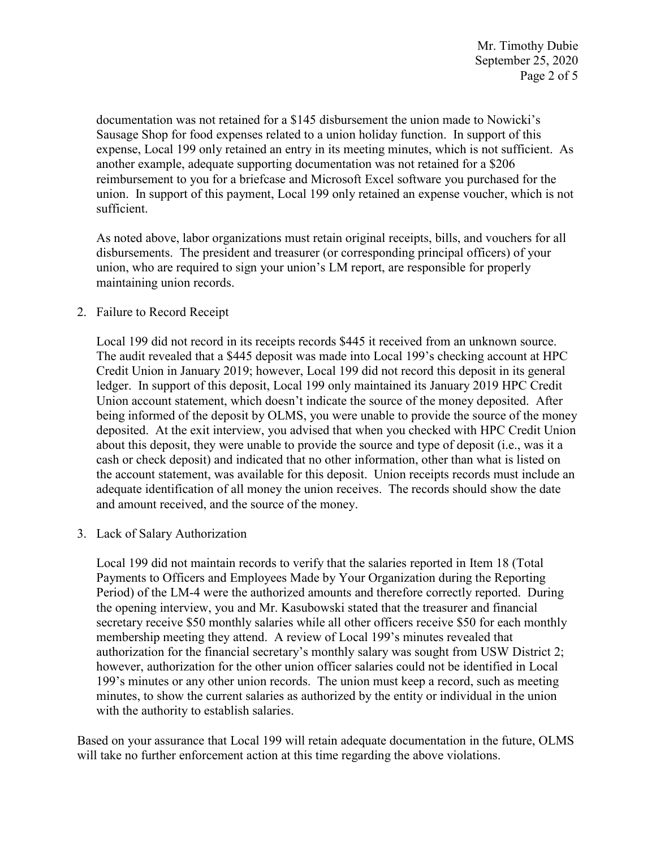reimbursement to you for a briefcase and Microsoft Excel software you purchased for the documentation was not retained for a \$145 disbursement the union made to Nowicki's Sausage Shop for food expenses related to a union holiday function. In support of this expense, Local 199 only retained an entry in its meeting minutes, which is not sufficient. As another example, adequate supporting documentation was not retained for a \$206 union. In support of this payment, Local 199 only retained an expense voucher, which is not sufficient.

 disbursements. The president and treasurer (or corresponding principal officers) of your As noted above, labor organizations must retain original receipts, bills, and vouchers for all union, who are required to sign your union's LM report, are responsible for properly maintaining union records.

## 2. Failure to Record Receipt

 about this deposit, they were unable to provide the source and type of deposit (i.e., was it a Local 199 did not record in its receipts records \$445 it received from an unknown source. The audit revealed that a \$445 deposit was made into Local 199's checking account at HPC Credit Union in January 2019; however, Local 199 did not record this deposit in its general ledger. In support of this deposit, Local 199 only maintained its January 2019 HPC Credit Union account statement, which doesn't indicate the source of the money deposited. After being informed of the deposit by OLMS, you were unable to provide the source of the money deposited. At the exit interview, you advised that when you checked with HPC Credit Union cash or check deposit) and indicated that no other information, other than what is listed on the account statement, was available for this deposit. Union receipts records must include an adequate identification of all money the union receives. The records should show the date and amount received, and the source of the money.

3. Lack of Salary Authorization

 Local 199 did not maintain records to verify that the salaries reported in Item 18 (Total Payments to Officers and Employees Made by Your Organization during the Reporting Period) of the LM-4 were the authorized amounts and therefore correctly reported. During the opening interview, you and Mr. Kasubowski stated that the treasurer and financial secretary receive \$50 monthly salaries while all other officers receive \$50 for each monthly membership meeting they attend. A review of Local 199's minutes revealed that authorization for the financial secretary's monthly salary was sought from USW District 2; however, authorization for the other union officer salaries could not be identified in Local 199's minutes or any other union records. The union must keep a record, such as meeting minutes, to show the current salaries as authorized by the entity or individual in the union with the authority to establish salaries.

 Based on your assurance that Local 199 will retain adequate documentation in the future, OLMS will take no further enforcement action at this time regarding the above violations.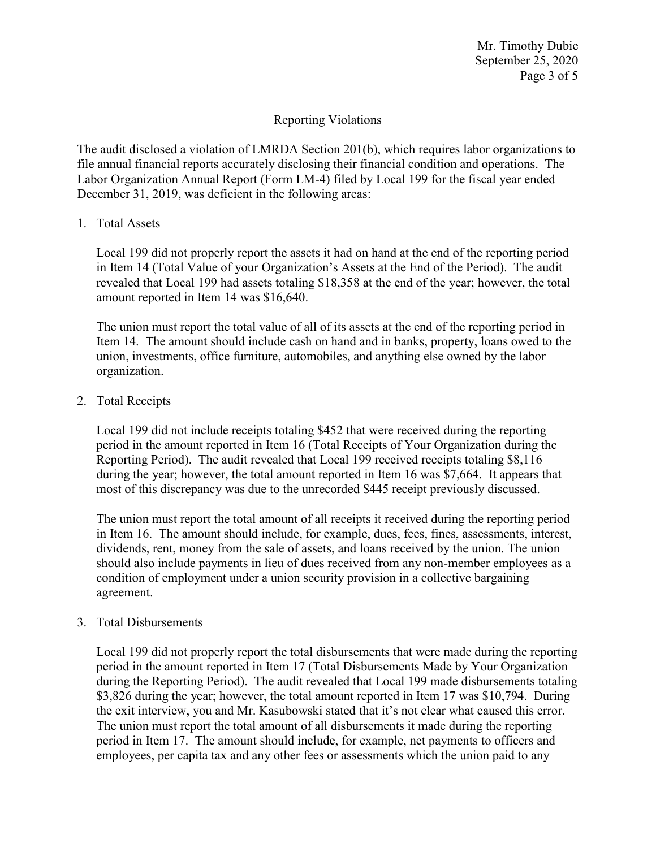Mr. Timothy Dubie September 25, 2020 Page 3 of 5

## Reporting Violations

 Labor Organization Annual Report (Form LM-4) filed by Local 199 for the fiscal year ended The audit disclosed a violation of LMRDA Section 201(b), which requires labor organizations to file annual financial reports accurately disclosing their financial condition and operations. The December 31, 2019, was deficient in the following areas:

### 1. Total Assets

Local 199 did not properly report the assets it had on hand at the end of the reporting period in Item 14 (Total Value of your Organization's Assets at the End of the Period). The audit revealed that Local 199 had assets totaling \$18,358 at the end of the year; however, the total amount reported in Item 14 was \$16,640.

The union must report the total value of all of its assets at the end of the reporting period in Item 14. The amount should include cash on hand and in banks, property, loans owed to the union, investments, office furniture, automobiles, and anything else owned by the labor organization.

## 2. Total Receipts

Local 199 did not include receipts totaling \$452 that were received during the reporting period in the amount reported in Item 16 (Total Receipts of Your Organization during the Reporting Period). The audit revealed that Local 199 received receipts totaling \$8,116 during the year; however, the total amount reported in Item 16 was \$7,664. It appears that most of this discrepancy was due to the unrecorded \$445 receipt previously discussed.

The union must report the total amount of all receipts it received during the reporting period in Item 16. The amount should include, for example, dues, fees, fines, assessments, interest, dividends, rent, money from the sale of assets, and loans received by the union. The union should also include payments in lieu of dues received from any non-member employees as a condition of employment under a union security provision in a collective bargaining agreement.

#### 3. Total Disbursements

 Local 199 did not properly report the total disbursements that were made during the reporting period in Item 17. The amount should include, for example, net payments to officers and period in the amount reported in Item 17 (Total Disbursements Made by Your Organization during the Reporting Period). The audit revealed that Local 199 made disbursements totaling \$3,826 during the year; however, the total amount reported in Item 17 was \$10,794. During the exit interview, you and Mr. Kasubowski stated that it's not clear what caused this error. The union must report the total amount of all disbursements it made during the reporting employees, per capita tax and any other fees or assessments which the union paid to any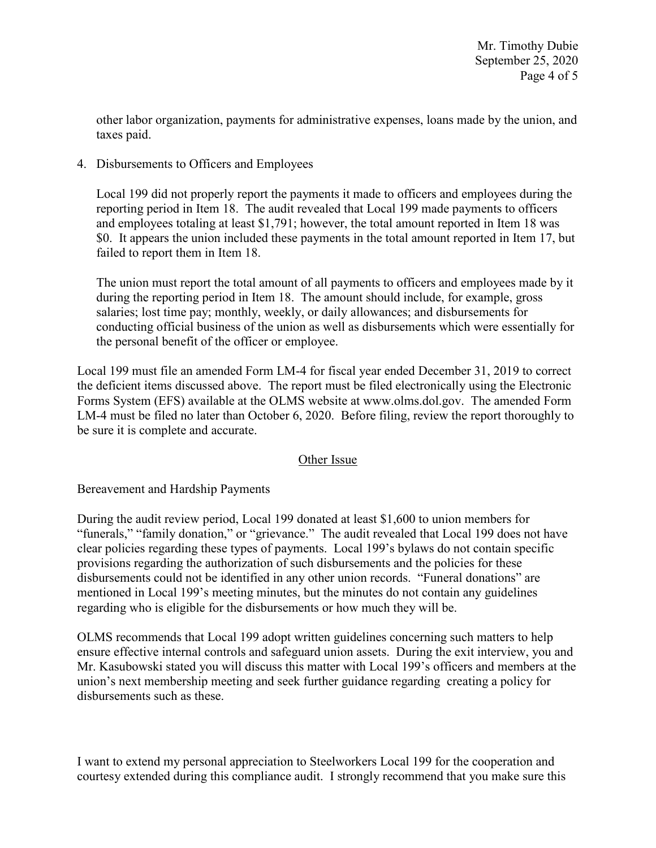other labor organization, payments for administrative expenses, loans made by the union, and taxes paid.

4. Disbursements to Officers and Employees

Local 199 did not properly report the payments it made to officers and employees during the reporting period in Item 18. The audit revealed that Local 199 made payments to officers and employees totaling at least \$1,791; however, the total amount reported in Item 18 was \$0. It appears the union included these payments in the total amount reported in Item 17, but failed to report them in Item 18.

 conducting official business of the union as well as disbursements which were essentially for the personal benefit of the officer or employee. The union must report the total amount of all payments to officers and employees made by it during the reporting period in Item 18. The amount should include, for example, gross salaries; lost time pay; monthly, weekly, or daily allowances; and disbursements for

 Local 199 must file an amended Form LM-4 for fiscal year ended December 31, 2019 to correct Forms System (EFS) available at the OLMS website at [www.olms.dol.gov.](www.olms.dol.gov) The amended Form the deficient items discussed above. The report must be filed electronically using the Electronic LM-4 must be filed no later than October 6, 2020. Before filing, review the report thoroughly to be sure it is complete and accurate.

# Other Issue

Bereavement and Hardship Payments

 mentioned in Local 199's meeting minutes, but the minutes do not contain any guidelines regarding who is eligible for the disbursements or how much they will be. During the audit review period, Local 199 donated at least \$1,600 to union members for "funerals," "family donation," or "grievance." The audit revealed that Local 199 does not have clear policies regarding these types of payments. Local 199's bylaws do not contain specific provisions regarding the authorization of such disbursements and the policies for these disbursements could not be identified in any other union records. "Funeral donations" are

 union's next membership meeting and seek further guidance regarding creating a policy for OLMS recommends that Local 199 adopt written guidelines concerning such matters to help ensure effective internal controls and safeguard union assets. During the exit interview, you and Mr. Kasubowski stated you will discuss this matter with Local 199's officers and members at the disbursements such as these.

 I want to extend my personal appreciation to Steelworkers Local 199 for the cooperation and courtesy extended during this compliance audit. I strongly recommend that you make sure this